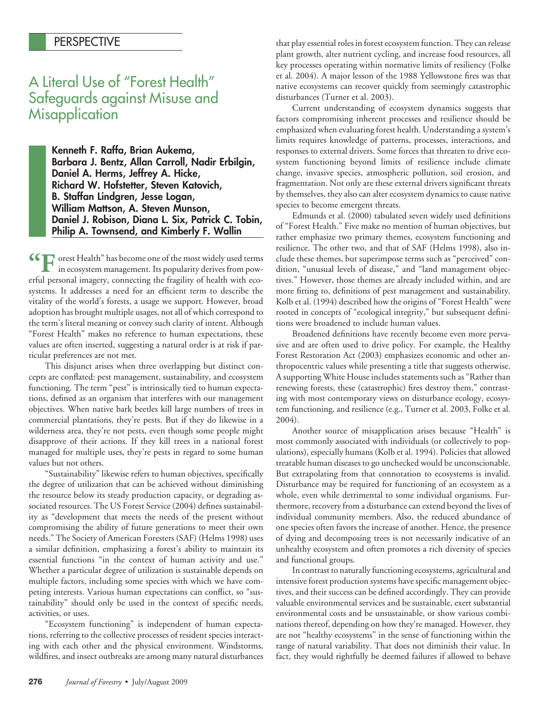## **PERSPECTIVE**

## A Literal Use of "Forest Health" Safeguards against Misuse and **Misapplication**

**Kenneth F. Raffa, Brian Aukema, Barbara J. Bentz, Allan Carroll, Nadir Erbilgin, Daniel A. Herms, Jeffrey A. Hicke, Richard W. Hofstetter, Steven Katovich, B. Staffan Lindgren, Jesse Logan, William Mattson, A. Steven Munson, Daniel J. Robison, Diana L. Six, Patrick C. Tobin, Philip A. Townsend, and Kimberly F. Wallin**

**CC**  $\Gamma$  orest Health" has become one of the most widely used terms in ecosystem management. Its popularity derives from powin ecosystem management. Its popularity derives from powerful personal imagery, connecting the fragility of health with ecosystems. It addresses a need for an efficient term to describe the vitality of the world's forests, a usage we support. However, broad adoption has brought multiple usages, not all of which correspond to the term's literal meaning or convey such clarity of intent. Although "Forest Health" makes no reference to human expectations, these values are often inserted, suggesting a natural order is at risk if particular preferences are not met.

This disjunct arises when three overlapping but distinct concepts are conflated: pest management, sustainability, and ecosystem functioning. The term "pest" is intrinsically tied to human expectations, defined as an organism that interferes with our management objectives. When native bark beetles kill large numbers of trees in commercial plantations, they're pests. But if they do likewise in a wilderness area, they're not pests, even though some people might disapprove of their actions. If they kill trees in a national forest managed for multiple uses, they're pests in regard to some human values but not others.

"Sustainability" likewise refers to human objectives, specifically the degree of utilization that can be achieved without diminishing the resource below its steady production capacity, or degrading associated resources. The US Forest Service (2004) defines sustainability as "development that meets the needs of the present without compromising the ability of future generations to meet their own needs." The Society of American Foresters (SAF) (Helms 1998) uses a similar definition, emphasizing a forest's ability to maintain its essential functions "in the context of human activity and use." Whether a particular degree of utilization is sustainable depends on multiple factors, including some species with which we have competing interests. Various human expectations can conflict, so "sustainability" should only be used in the context of specific needs, activities, or uses.

"Ecosystem functioning" is independent of human expectations, referring to the collective processes of resident species interacting with each other and the physical environment. Windstorms, wildfires, and insect outbreaks are among many natural disturbances that play essential roles in forest ecosystem function. They can release plant growth, alter nutrient cycling, and increase food resources, all key processes operating within normative limits of resiliency (Folke et al. 2004). A major lesson of the 1988 Yellowstone fires was that native ecosystems can recover quickly from seemingly catastrophic disturbances (Turner et al. 2003).

Current understanding of ecosystem dynamics suggests that factors compromising inherent processes and resilience should be emphasized when evaluating forest health. Understanding a system's limits requires knowledge of patterns, processes, interactions, and responses to external drivers. Some forces that threaten to drive ecosystem functioning beyond limits of resilience include climate change, invasive species, atmospheric pollution, soil erosion, and fragmentation. Not only are these external drivers significant threats by themselves, they also can alter ecosystem dynamics to cause native species to become emergent threats.

Edmunds et al. (2000) tabulated seven widely used definitions of "Forest Health." Five make no mention of human objectives, but rather emphasize two primary themes, ecosystem functioning and resilience. The other two, and that of SAF (Helms 1998), also include these themes, but superimpose terms such as "perceived" condition, "unusual levels of disease," and "land management objectives." However, those themes are already included within, and are more fitting to, definitions of pest management and sustainability. Kolb et al. (1994) described how the origins of "Forest Health" were rooted in concepts of "ecological integrity," but subsequent definitions were broadened to include human values.

Broadened definitions have recently become even more pervasive and are often used to drive policy. For example, the Healthy Forest Restoration Act (2003) emphasizes economic and other anthropocentric values while presenting a title that suggests otherwise. A supporting White House includes statements such as "Rather than renewing forests, these (catastrophic) fires destroy them," contrasting with most contemporary views on disturbance ecology, ecosystem functioning, and resilience (e.g., Turner et al. 2003, Folke et al. 2004).

Another source of misapplication arises because "Health" is most commonly associated with individuals (or collectively to populations), especially humans (Kolb et al. 1994). Policies that allowed treatable human diseases to go unchecked would be unconscionable. But extrapolating from that connotation to ecosystems is invalid. Disturbance may be required for functioning of an ecosystem as a whole, even while detrimental to some individual organisms. Furthermore, recovery from a disturbance can extend beyond the lives of individual community members. Also, the reduced abundance of one species often favors the increase of another. Hence, the presence of dying and decomposing trees is not necessarily indicative of an unhealthy ecosystem and often promotes a rich diversity of species and functional groups.

In contrast to naturally functioning ecosystems, agricultural and intensive forest production systems have specific management objectives, and their success can be defined accordingly. They can provide valuable environmental services and be sustainable, exert substantial environmental costs and be unsustainable, or show various combinations thereof, depending on how they're managed. However, they are not "healthy ecosystems" in the sense of functioning within the range of natural variability. That does not diminish their value. In fact, they would rightfully be deemed failures if allowed to behave